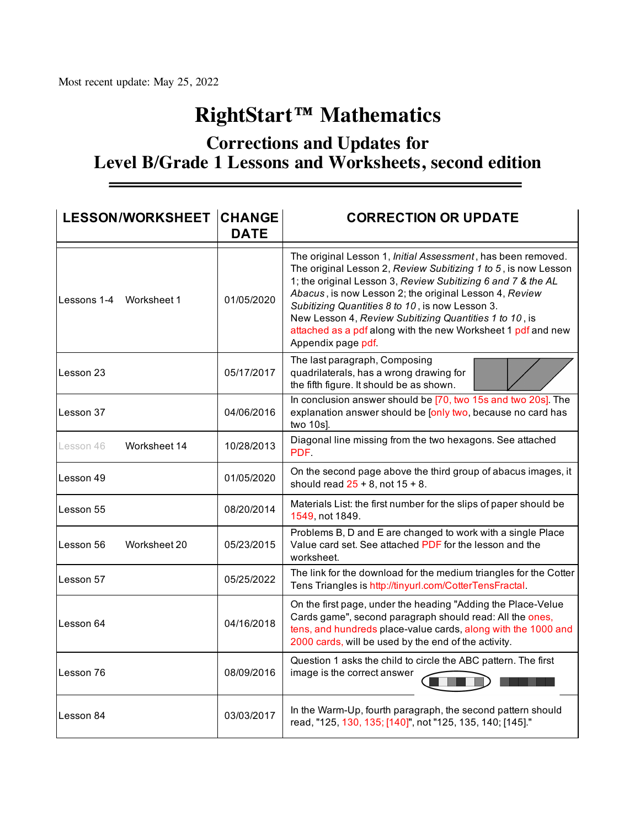## **RightStart™ Mathematics**

## **Corrections and Updates for Level B/Grade 1 Lessons and Worksheets, second edition**

| <b>LESSON/WORKSHEET CHANGE</b> | <b>DATE</b> | <b>CORRECTION OR UPDATE</b>                                                                                                                                                                                                                                                                                                                                                                                                                                 |
|--------------------------------|-------------|-------------------------------------------------------------------------------------------------------------------------------------------------------------------------------------------------------------------------------------------------------------------------------------------------------------------------------------------------------------------------------------------------------------------------------------------------------------|
| Lessons 1-4 Worksheet 1        | 01/05/2020  | The original Lesson 1, Initial Assessment, has been removed.<br>The original Lesson 2, Review Subitizing 1 to 5, is now Lesson<br>1; the original Lesson 3, Review Subitizing 6 and 7 & the AL<br>Abacus, is now Lesson 2; the original Lesson 4, Review<br>Subitizing Quantities 8 to 10, is now Lesson 3.<br>New Lesson 4, Review Subitizing Quantities 1 to 10, is<br>attached as a pdf along with the new Worksheet 1 pdf and new<br>Appendix page pdf. |
| Lesson 23                      | 05/17/2017  | The last paragraph, Composing<br>quadrilaterals, has a wrong drawing for<br>the fifth figure. It should be as shown.                                                                                                                                                                                                                                                                                                                                        |
| Lesson 37                      | 04/06/2016  | In conclusion answer should be [70, two 15s and two 20s]. The<br>explanation answer should be [only two, because no card has<br>two 10s].                                                                                                                                                                                                                                                                                                                   |
| Worksheet 14<br>Lesson 46      | 10/28/2013  | Diagonal line missing from the two hexagons. See attached<br>PDF.                                                                                                                                                                                                                                                                                                                                                                                           |
| Lesson 49                      | 01/05/2020  | On the second page above the third group of abacus images, it<br>should read $25 + 8$ , not $15 + 8$ .                                                                                                                                                                                                                                                                                                                                                      |
| Lesson 55                      | 08/20/2014  | Materials List: the first number for the slips of paper should be<br>1549, not 1849.                                                                                                                                                                                                                                                                                                                                                                        |
| Lesson 56<br>Worksheet 20      | 05/23/2015  | Problems B, D and E are changed to work with a single Place<br>Value card set. See attached PDF for the lesson and the<br>worksheet.                                                                                                                                                                                                                                                                                                                        |
| Lesson 57                      | 05/25/2022  | The link for the download for the medium triangles for the Cotter<br>Tens Triangles is http://tinyurl.com/CotterTensFractal.                                                                                                                                                                                                                                                                                                                                |
| Lesson 64                      | 04/16/2018  | On the first page, under the heading "Adding the Place-Velue<br>Cards game", second paragraph should read: All the ones,<br>tens, and hundreds place-value cards, along with the 1000 and<br>2000 cards, will be used by the end of the activity.                                                                                                                                                                                                           |
| Lesson 76                      | 08/09/2016  | Question 1 asks the child to circle the ABC pattern. The first<br>image is the correct answer                                                                                                                                                                                                                                                                                                                                                               |
| Lesson 84                      | 03/03/2017  | In the Warm-Up, fourth paragraph, the second pattern should<br>read, "125, 130, 135; [140]", not "125, 135, 140; [145]."                                                                                                                                                                                                                                                                                                                                    |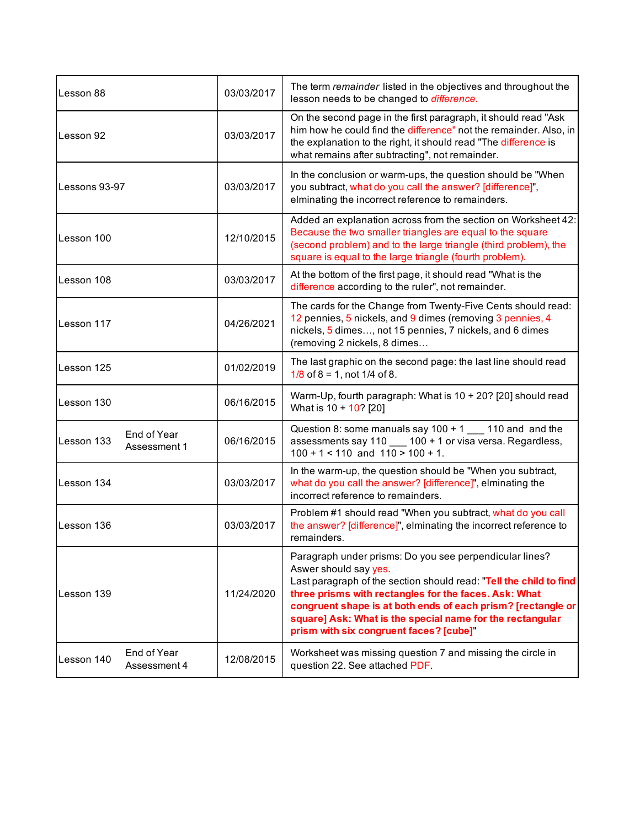| Lesson 88                                 | 03/03/2017 | The term remainder listed in the objectives and throughout the<br>lesson needs to be changed to difference.                                                                                                                                                                                                                                                                             |  |
|-------------------------------------------|------------|-----------------------------------------------------------------------------------------------------------------------------------------------------------------------------------------------------------------------------------------------------------------------------------------------------------------------------------------------------------------------------------------|--|
| Lesson 92                                 | 03/03/2017 | On the second page in the first paragraph, it should read "Ask<br>him how he could find the difference" not the remainder. Also, in<br>the explanation to the right, it should read "The difference is<br>what remains after subtracting", not remainder.                                                                                                                               |  |
| Lessons 93-97                             | 03/03/2017 | In the conclusion or warm-ups, the question should be "When<br>you subtract, what do you call the answer? [difference]",<br>elminating the incorrect reference to remainders.                                                                                                                                                                                                           |  |
| Lesson 100                                | 12/10/2015 | Added an explanation across from the section on Worksheet 42:<br>Because the two smaller triangles are equal to the square<br>(second problem) and to the large triangle (third problem), the<br>square is equal to the large triangle (fourth problem).                                                                                                                                |  |
| Lesson 108                                | 03/03/2017 | At the bottom of the first page, it should read "What is the<br>difference according to the ruler", not remainder.                                                                                                                                                                                                                                                                      |  |
| Lesson 117                                | 04/26/2021 | The cards for the Change from Twenty-Five Cents should read:<br>12 pennies, 5 nickels, and 9 dimes (removing 3 pennies, 4<br>nickels, 5 dimes, not 15 pennies, 7 nickels, and 6 dimes<br>(removing 2 nickels, 8 dimes                                                                                                                                                                   |  |
| Lesson 125                                | 01/02/2019 | The last graphic on the second page: the last line should read<br>$1/8$ of $8 = 1$ , not $1/4$ of 8.                                                                                                                                                                                                                                                                                    |  |
| Lesson 130                                | 06/16/2015 | Warm-Up, fourth paragraph: What is 10 + 20? [20] should read<br>What is 10 + 10? [20]                                                                                                                                                                                                                                                                                                   |  |
| End of Year<br>Lesson 133<br>Assessment 1 | 06/16/2015 | Question 8: some manuals say $100 + 1$ ___ 110 and and the<br>assessments say 110 __ 100 + 1 or visa versa. Regardless,<br>$100 + 1 < 110$ and $110 > 100 + 1$ .                                                                                                                                                                                                                        |  |
| Lesson 134                                | 03/03/2017 | In the warm-up, the question should be "When you subtract,<br>what do you call the answer? [difference]", elminating the<br>incorrect reference to remainders.                                                                                                                                                                                                                          |  |
| Lesson 136                                | 03/03/2017 | Problem #1 should read "When you subtract, what do you call<br>the answer? [difference]", elminating the incorrect reference to<br>remainders.                                                                                                                                                                                                                                          |  |
| Lesson 139                                | 11/24/2020 | Paragraph under prisms: Do you see perpendicular lines?<br>Aswer should say yes.<br>Last paragraph of the section should read: "Tell the child to find<br>three prisms with rectangles for the faces. Ask: What<br>congruent shape is at both ends of each prism? [rectangle or<br>square] Ask: What is the special name for the rectangular<br>prism with six congruent faces? [cube]" |  |
| End of Year<br>Lesson 140<br>Assessment 4 | 12/08/2015 | Worksheet was missing question 7 and missing the circle in<br>question 22. See attached PDF.                                                                                                                                                                                                                                                                                            |  |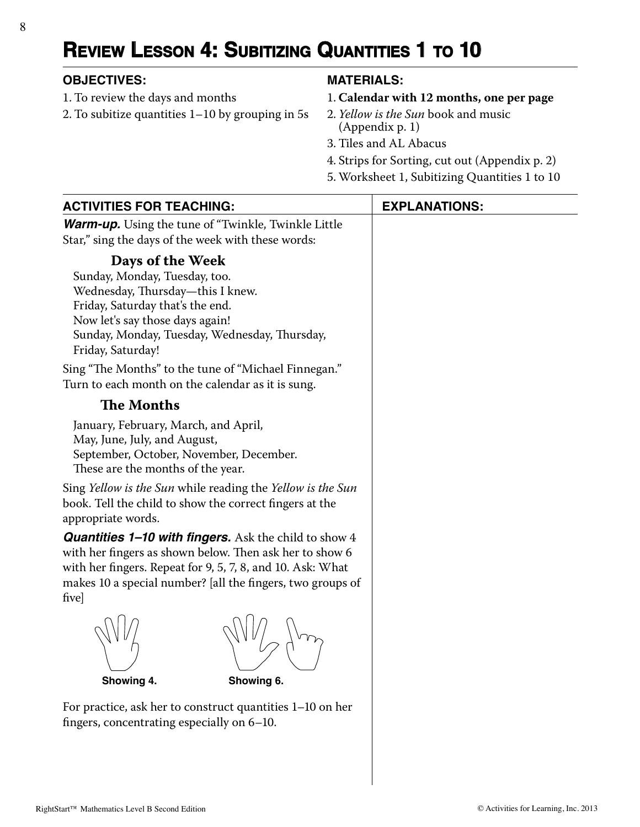# **REVIEW LESSON 4: SUBITIZING QUANTITIES 1 TO 10**

### **OBJECTIVES: MATERIALS:**

- 1. To review the days and months
- 2. To subitize quantities 1–10 by grouping in 5s

- 1. **Calendar with 12 months, one per page**
- 2. *Yellow is the Sun* book and music (Appendix p. 1)
- 3. Tiles and AL Abacus
- 4. Strips for Sorting, cut out (Appendix p. 2)
- 5. Worksheet 1, Subitizing Quantities 1 to 10

| <b>ACTIVITIES FOR TEACHING:</b>                                                                                                                                                                                                                              | <b>EXPLANATIONS:</b> |
|--------------------------------------------------------------------------------------------------------------------------------------------------------------------------------------------------------------------------------------------------------------|----------------------|
| <b>Warm-up.</b> Using the tune of "Twinkle, Twinkle Little<br>Star," sing the days of the week with these words:                                                                                                                                             |                      |
| Days of the Week<br>Sunday, Monday, Tuesday, too.<br>Wednesday, Thursday-this I knew.<br>Friday, Saturday that's the end.<br>Now let's say those days again!<br>Sunday, Monday, Tuesday, Wednesday, Thursday,<br>Friday, Saturday!                           |                      |
| Sing "The Months" to the tune of "Michael Finnegan."<br>Turn to each month on the calendar as it is sung.                                                                                                                                                    |                      |
| <b>The Months</b>                                                                                                                                                                                                                                            |                      |
| January, February, March, and April,<br>May, June, July, and August,<br>September, October, November, December.<br>These are the months of the year.                                                                                                         |                      |
| Sing Yellow is the Sun while reading the Yellow is the Sun<br>book. Tell the child to show the correct fingers at the<br>appropriate words.                                                                                                                  |                      |
| <b>Quantities 1–10 with fingers.</b> Ask the child to show 4<br>with her fingers as shown below. Then ask her to show 6<br>with her fingers. Repeat for 9, 5, 7, 8, and 10. Ask: What<br>makes 10 a special number? [all the fingers, two groups of<br>five] |                      |
| Showing 4.<br>Showing 6.                                                                                                                                                                                                                                     |                      |
| For practice, ask her to construct quantities 1-10 on her<br>fingers, concentrating especially on 6-10.                                                                                                                                                      |                      |
|                                                                                                                                                                                                                                                              |                      |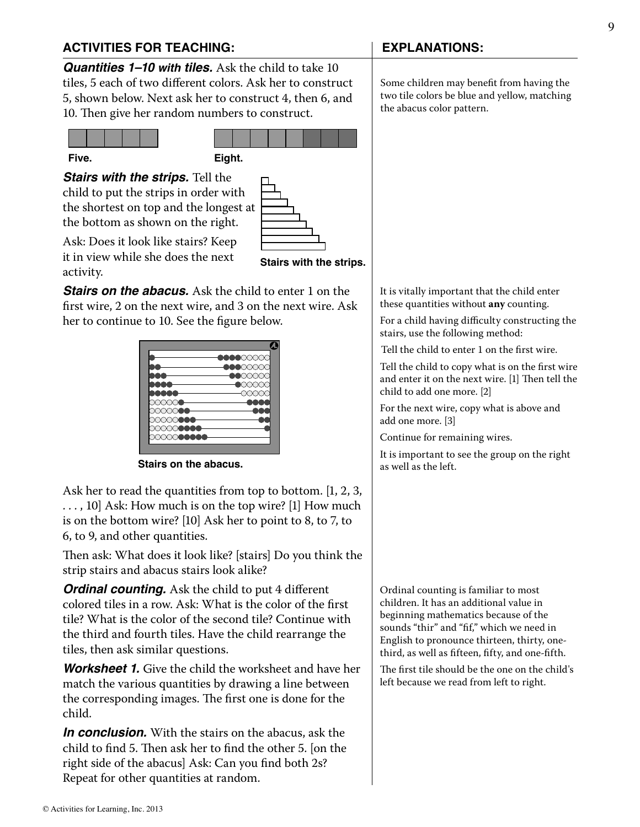### **ACTIVITIES FOR TEACHING: EXPLANATIONS:**

**Quantities 1–10 with tiles.** Ask the child to take 10 tiles, 5 each of two different colors. Ask her to construct 5, shown below. Next ask her to construct 4, then 6, and 10. Then give her random numbers to construct.





*Stairs with the strips.* Tell the child to put the strips in order with the shortest on top and the longest at the bottom as shown on the right.



Ask: Does it look like stairs? Keep it in view while she does the next activity.

*Stairs on the abacus.* Ask the child to enter 1 on the first wire, 2 on the next wire, and 3 on the next wire. Ask her to continue to 10. See the figure below.

|                      | -00000000 |
|----------------------|-----------|
|                      | ●●●○○○    |
|                      | aax       |
|                      | nnx       |
|                      |           |
|                      |           |
| ∞∞                   |           |
| XXX <b>aaa</b><br>∞∞ |           |
| ░░░                  |           |
|                      |           |

**Stairs on the abacus.**

Ask her to read the quantities from top to bottom. [1, 2, 3, . . . , 10] Ask: How much is on the top wire? [1] How much is on the bottom wire? [10] Ask her to point to 8, to 7, to 6, to 9, and other quantities.

Then ask: What does it look like? [stairs] Do you think the strip stairs and abacus stairs look alike?

*Ordinal counting.* Ask the child to put 4 different colored tiles in a row. Ask: What is the color of the first tile? What is the color of the second tile? Continue with the third and fourth tiles. Have the child rearrange the tiles, then ask similar questions.

*Worksheet 1.* Give the child the worksheet and have her match the various quantities by drawing a line between the corresponding images. The first one is done for the child.

*In conclusion.* With the stairs on the abacus, ask the child to find  $5$ . Then ask her to find the other  $5$ . [on the right side of the abacus] Ask: Can you find both 2s? Repeat for other quantities at random.

Some children may benefit from having the two tile colors be blue and yellow, matching the abacus color pattern.

It is vitally important that the child enter these quantities without **any** counting.

For a child having difficulty constructing the stairs, use the following method:

Tell the child to enter 1 on the first wire.

Tell the child to copy what is on the first wire and enter it on the next wire. [1] Then tell the child to add one more. [2]

For the next wire, copy what is above and add one more. [3]

Continue for remaining wires.

It is important to see the group on the right as well as the left.

Ordinal counting is familiar to most children. It has an additional value in beginning mathematics because of the sounds "thir" and "fif," which we need in English to pronounce thirteen, thirty, onethird, as well as fifteen, fifty, and one-fifth.

The first tile should be the one on the child's left because we read from left to right.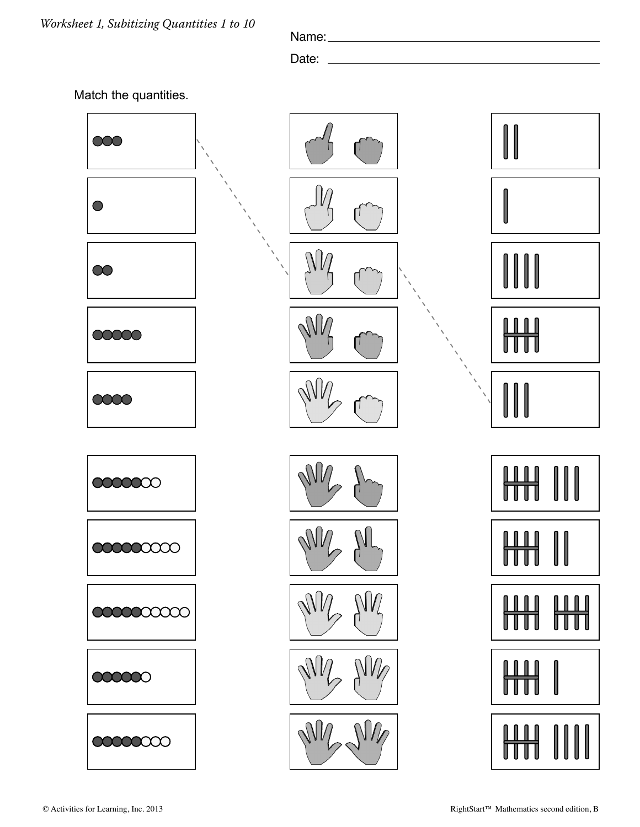Name:

Date:



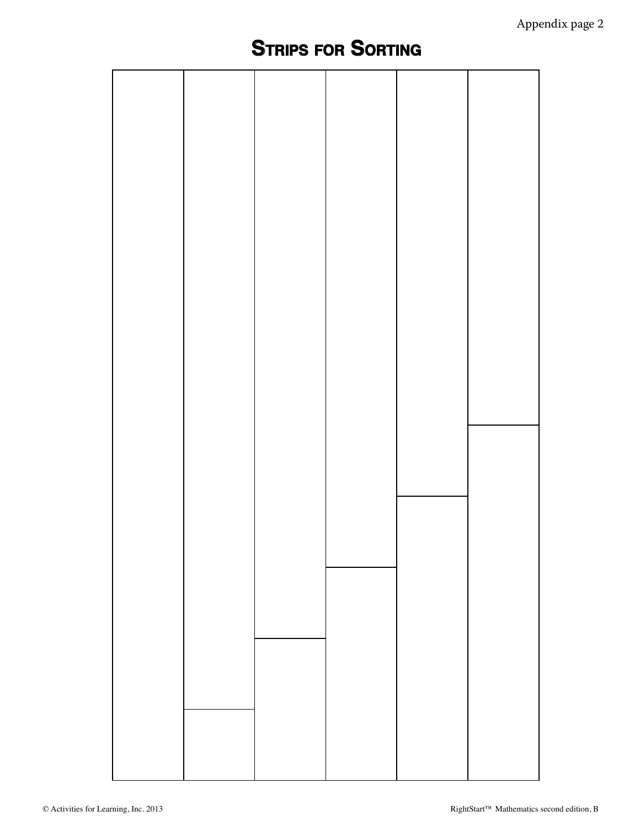# **STRIPS FOR SORTING**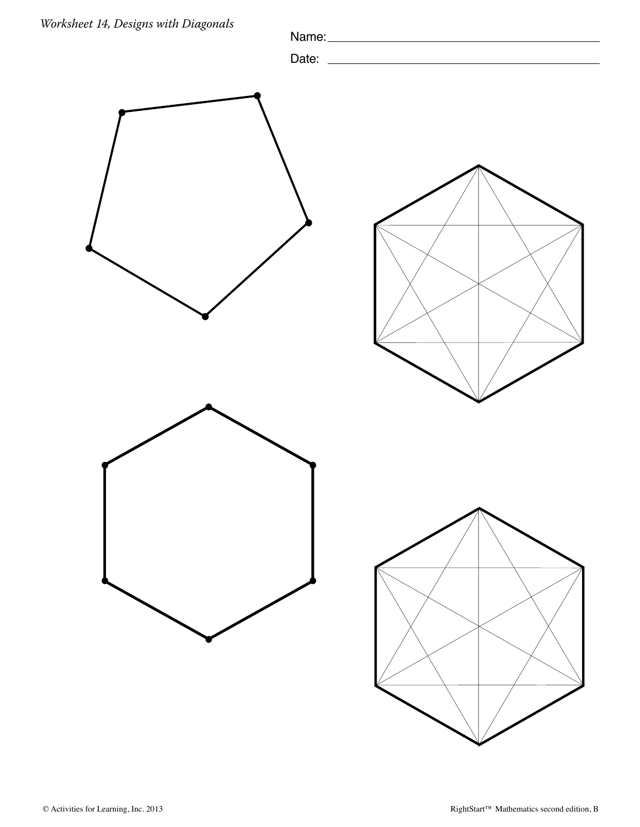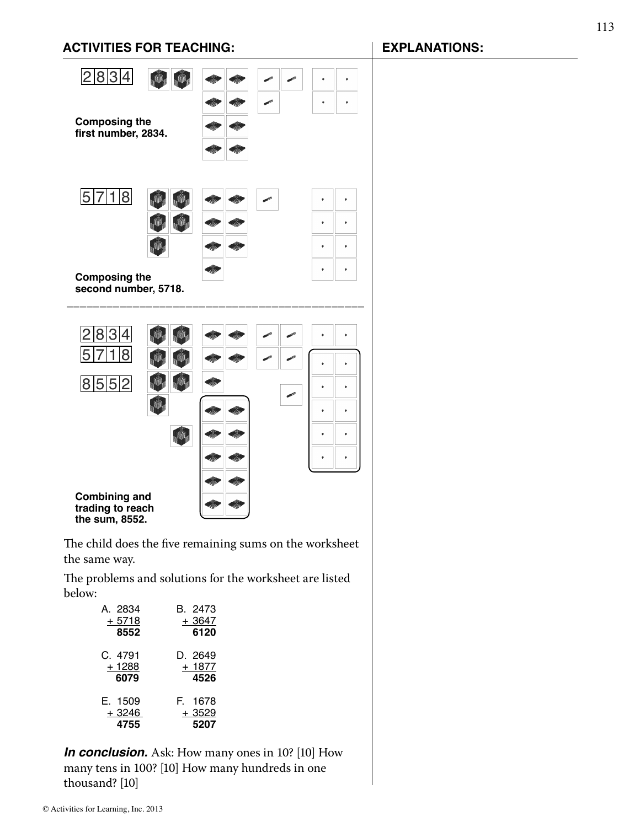### **ACTIVITIES FOR TEACHING: EXPLANATIONS:**



The child does the five remaining sums on the worksheet the same way.

The problems and solutions for the worksheet are listed below:

| A. 2834 | B. 2473 |
|---------|---------|
| + 5718  | + 3647  |
| 8552    | 6120    |
| C. 4791 | D. 2649 |
| + 1288  | $+1877$ |
| 6079    | 4526    |
| E. 1509 | F. 1678 |
| $+3246$ | + 3529  |
| 4755    | 5207    |

*In conclusion.* Ask: How many ones in 10? [10] How many tens in 100? [10] How many hundreds in one thousand? [10]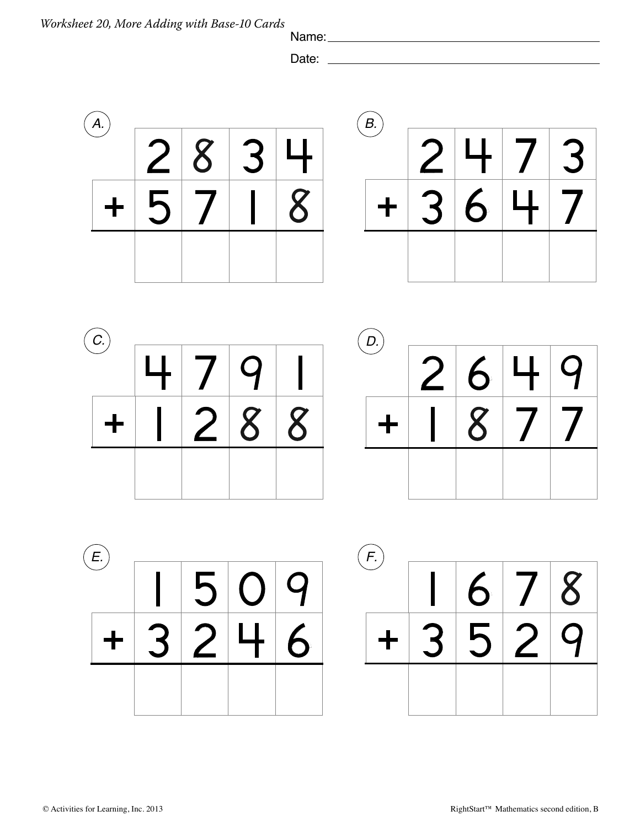Name:

Date:  $\overline{\phantom{a}}$ 





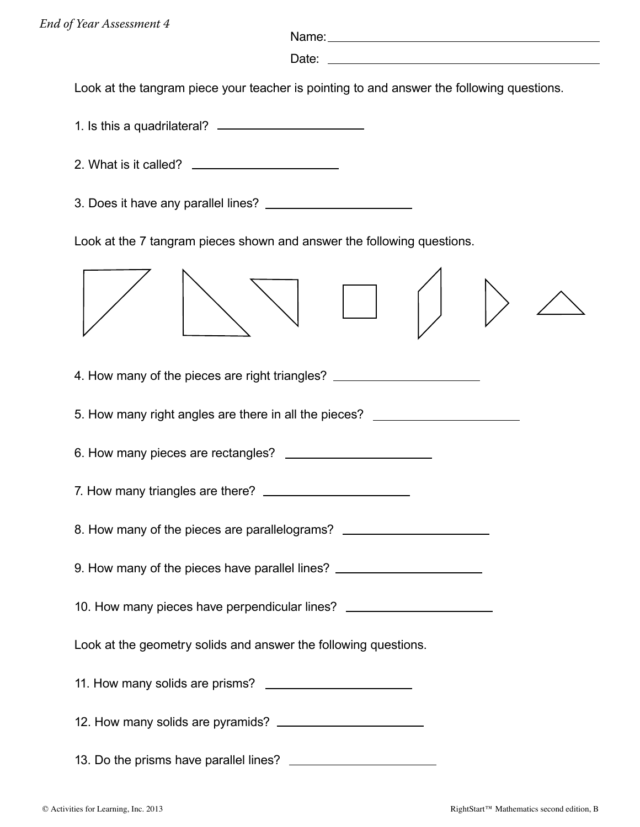Name:

Date:

Look at the tangram piece your teacher is pointing to and answer the following questions.

1. Is this a quadrilateral?

- 2. What is it called?
- 3. Does it have any parallel lines?

Look at the 7 tangram pieces shown and answer the following questions.

| 4. How many of the pieces are right triangles? _________________________________ |  |
|----------------------------------------------------------------------------------|--|
| 5. How many right angles are there in all the pieces? __________________________ |  |
|                                                                                  |  |
|                                                                                  |  |
| 8. How many of the pieces are parallelograms? __________________________________ |  |
| 9. How many of the pieces have parallel lines? _________________________________ |  |
| 10. How many pieces have perpendicular lines? __________________________________ |  |
| Look at the geometry solids and answer the following questions.                  |  |
|                                                                                  |  |
|                                                                                  |  |
| 13. Do the prisms have parallel lines?                                           |  |